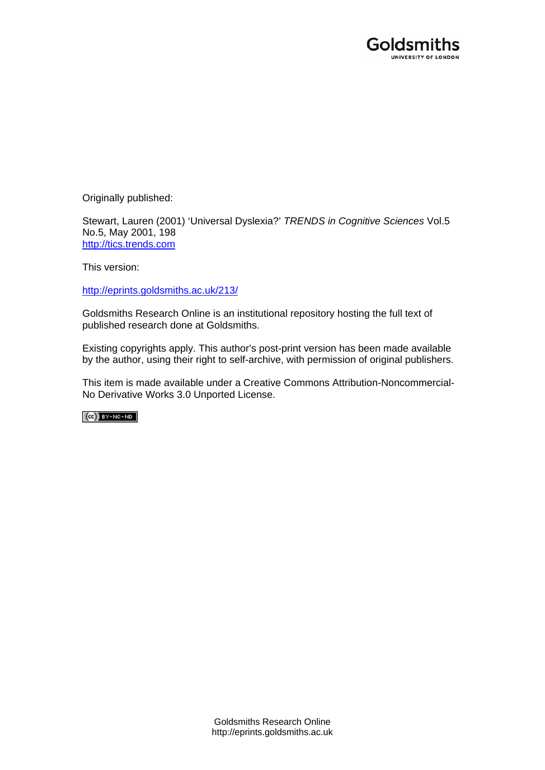

Originally published:

Stewart, Lauren (2001) 'Universal Dyslexia?' *TRENDS in Cognitive Sciences* Vol.5 No.5, May 2001, 198 [http://tics.trends.com](http://tics.trends.com/)

This version:

[http://eprints.goldsmiths.ac.uk/213/](http://eprints.goldsmiths.ac.uk/211/)

Goldsmiths Research Online is an institutional repository hosting the full text of published research done at Goldsmiths.

Existing copyrights apply. This author's post-print version has been made available by the author, using their right to self-archive, with permission of original publishers.

This item is made available under a Creative Commons Attribution-Noncommercial-No Derivative Works 3.0 Unported License.

 $(Cc)$  BY-NC-ND